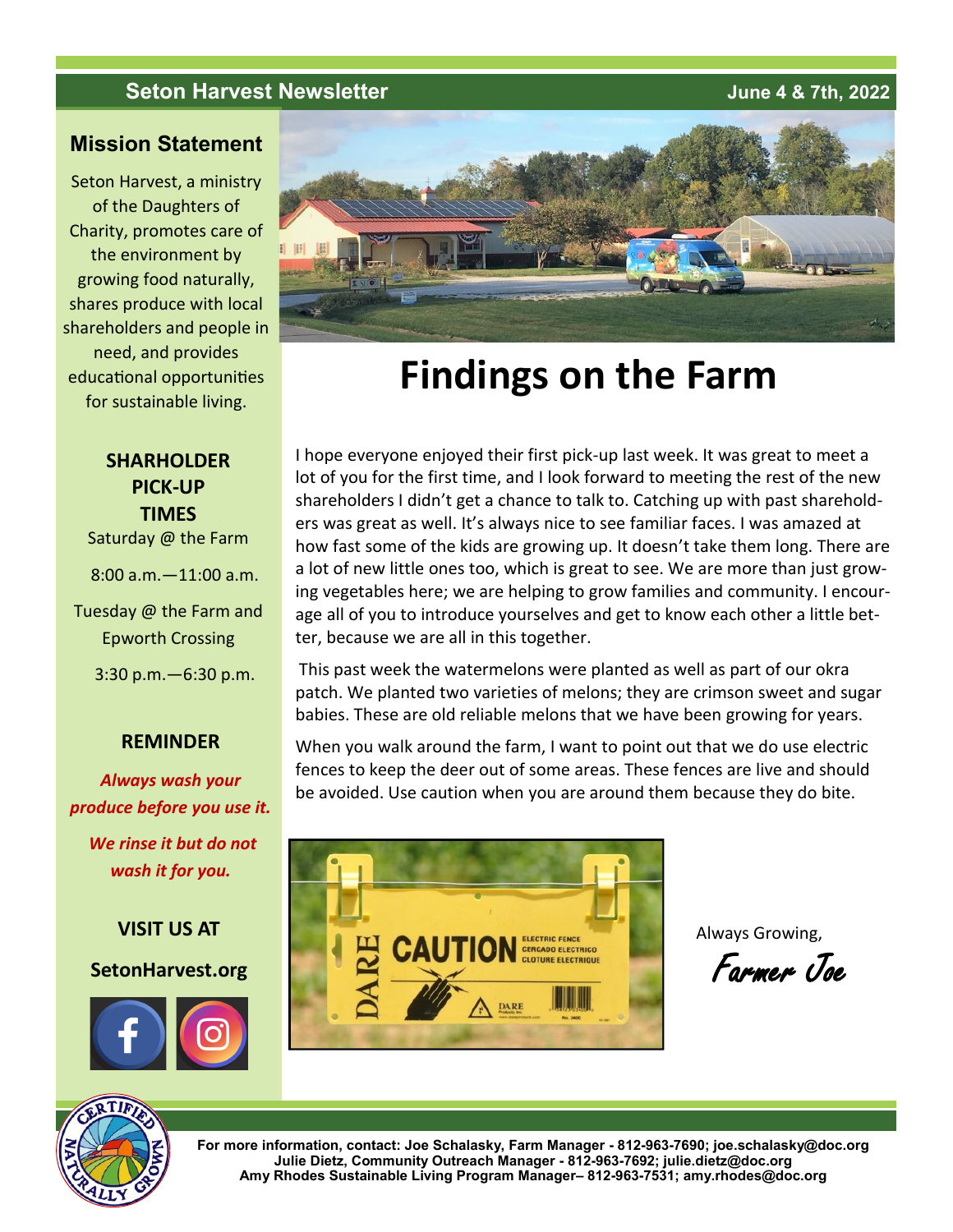# **Seton Harvest Newsletter June 4 & 7th, 2022**

# **Mission Statement**

Seton Harvest, a ministry of the Daughters of Charity, promotes care of the environment by growing food naturally, shares produce with local shareholders and people in need, and provides educational opportunities for sustainable living.



# **Findings on the Farm**

I hope everyone enjoyed their first pick-up last week. It was great to meet a lot of you for the first time, and I look forward to meeting the rest of the new shareholders I didn't get a chance to talk to. Catching up with past shareholders was great as well. It's always nice to see familiar faces. I was amazed at

**SHARHOLDER PICK-UP TIMES**

Saturday @ the Farm

8:00 a.m.—11:00 a.m.

Tuesday @ the Farm and Epworth Crossing

3:30 p.m.—6:30 p.m.

# **REMINDER**

*Always wash your produce before you use it.*

*We rinse it but do not wash it for you.*

**VISIT US AT**

# **SetonHarvest.org**



how fast some of the kids are growing up. It doesn't take them long. There are a lot of new little ones too, which is great to see. We are more than just growing vegetables here; we are helping to grow families and community. I encourage all of you to introduce yourselves and get to know each other a little better, because we are all in this together. This past week the watermelons were planted as well as part of our okra patch. We planted two varieties of melons; they are crimson sweet and sugar babies. These are old reliable melons that we have been growing for years.

When you walk around the farm, I want to point out that we do use electric fences to keep the deer out of some areas. These fences are live and should be avoided. Use caution when you are around them because they do bite.



Always Growing,

Farmer Joe



**For more information, contact: Joe Schalasky, Farm Manager - 812-963-7690; joe.schalasky@doc.org Julie Dietz, Community Outreach Manager - 812-963-7692; julie.dietz@doc.org Amy Rhodes Sustainable Living Program Manager– 812-963-7531; amy.rhodes@doc.org**